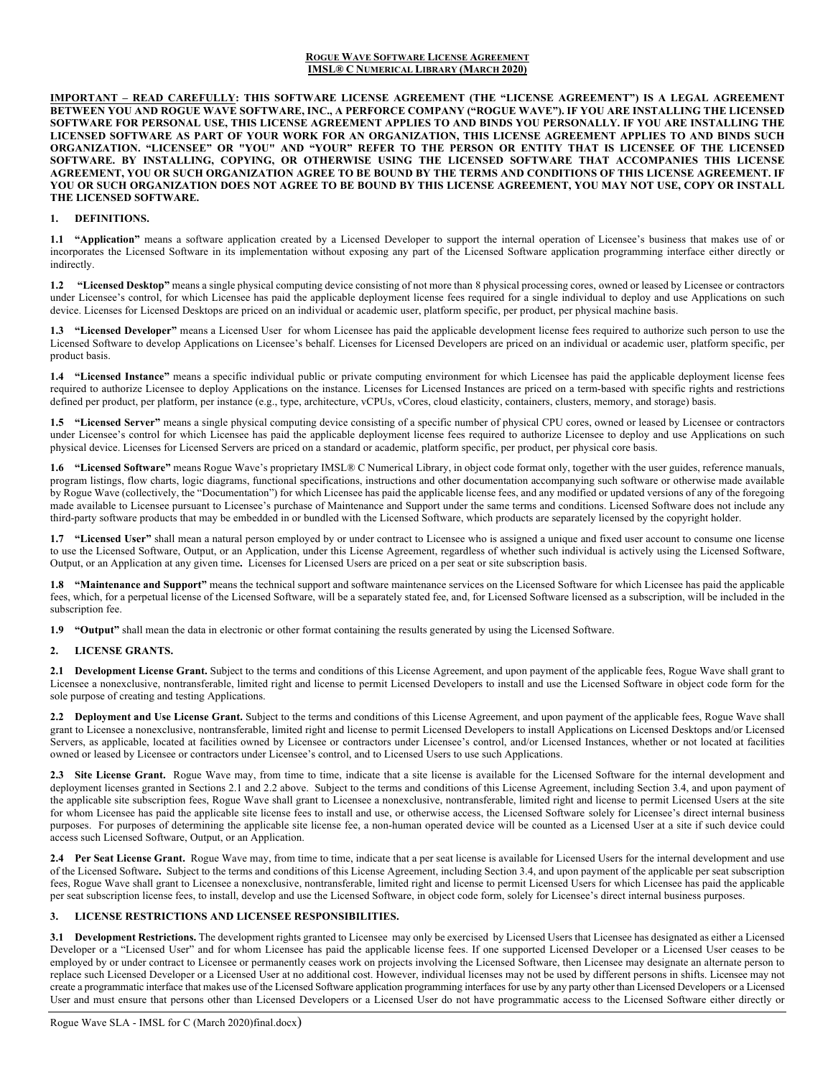#### **ROGUE WAVE SOFTWARE LICENSE AGREEMENT IMSL® C NUMERICAL LIBRARY (MARCH 2020)**

**IMPORTANT – READ CAREFULLY: THIS SOFTWARE LICENSE AGREEMENT (THE "LICENSE AGREEMENT") IS A LEGAL AGREEMENT BETWEEN YOU AND ROGUE WAVE SOFTWARE, INC., A PERFORCE COMPANY ("ROGUE WAVE"). IF YOU ARE INSTALLING THE LICENSED SOFTWARE FOR PERSONAL USE, THIS LICENSE AGREEMENT APPLIES TO AND BINDS YOU PERSONALLY. IF YOU ARE INSTALLING THE LICENSED SOFTWARE AS PART OF YOUR WORK FOR AN ORGANIZATION, THIS LICENSE AGREEMENT APPLIES TO AND BINDS SUCH ORGANIZATION. "LICENSEE" OR "YOU" AND "YOUR" REFER TO THE PERSON OR ENTITY THAT IS LICENSEE OF THE LICENSED SOFTWARE. BY INSTALLING, COPYING, OR OTHERWISE USING THE LICENSED SOFTWARE THAT ACCOMPANIES THIS LICENSE AGREEMENT, YOU OR SUCH ORGANIZATION AGREE TO BE BOUND BY THE TERMS AND CONDITIONS OF THIS LICENSE AGREEMENT. IF YOU OR SUCH ORGANIZATION DOES NOT AGREE TO BE BOUND BY THIS LICENSE AGREEMENT, YOU MAY NOT USE, COPY OR INSTALL THE LICENSED SOFTWARE.**

### **1. DEFINITIONS.**

**1.1 "Application"** means a software application created by a Licensed Developer to support the internal operation of Licensee's business that makes use of or incorporates the Licensed Software in its implementation without exposing any part of the Licensed Software application programming interface either directly or indirectly.

**1.2 "Licensed Desktop"** means a single physical computing device consisting of not more than 8 physical processing cores, owned or leased by Licensee or contractors under Licensee's control, for which Licensee has paid the applicable deployment license fees required for a single individual to deploy and use Applications on such device. Licenses for Licensed Desktops are priced on an individual or academic user, platform specific, per product, per physical machine basis.

**1.3 "Licensed Developer"** means a Licensed User for whom Licensee has paid the applicable development license fees required to authorize such person to use the Licensed Software to develop Applications on Licensee's behalf. Licenses for Licensed Developers are priced on an individual or academic user, platform specific, per product basis.

**1.4 "Licensed Instance"** means a specific individual public or private computing environment for which Licensee has paid the applicable deployment license fees required to authorize Licensee to deploy Applications on the instance. Licenses for Licensed Instances are priced on a term-based with specific rights and restrictions defined per product, per platform, per instance (e.g., type, architecture, vCPUs, vCores, cloud elasticity, containers, clusters, memory, and storage) basis.

**1.5 "Licensed Server"** means a single physical computing device consisting of a specific number of physical CPU cores, owned or leased by Licensee or contractors under Licensee's control for which Licensee has paid the applicable deployment license fees required to authorize Licensee to deploy and use Applications on such physical device. Licenses for Licensed Servers are priced on a standard or academic, platform specific, per product, per physical core basis.

**1.6 "Licensed Software"** means Rogue Wave's proprietary IMSL® C Numerical Library, in object code format only, together with the user guides, reference manuals, program listings, flow charts, logic diagrams, functional specifications, instructions and other documentation accompanying such software or otherwise made available by Rogue Wave (collectively, the "Documentation") for which Licensee has paid the applicable license fees, and any modified or updated versions of any of the foregoing made available to Licensee pursuant to Licensee's purchase of Maintenance and Support under the same terms and conditions. Licensed Software does not include any third-party software products that may be embedded in or bundled with the Licensed Software, which products are separately licensed by the copyright holder.

**1.7 "Licensed User"** shall mean a natural person employed by or under contract to Licensee who is assigned a unique and fixed user account to consume one license to use the Licensed Software, Output, or an Application, under this License Agreement, regardless of whether such individual is actively using the Licensed Software, Output, or an Application at any given time**.** Licenses for Licensed Users are priced on a per seat or site subscription basis.

**1.8 "Maintenance and Support"** means the technical support and software maintenance services on the Licensed Software for which Licensee has paid the applicable fees, which, for a perpetual license of the Licensed Software, will be a separately stated fee, and, for Licensed Software licensed as a subscription, will be included in the subscription fee.

**1.9 "Output"** shall mean the data in electronic or other format containing the results generated by using the Licensed Software.

#### **2. LICENSE GRANTS.**

**2.1 Development License Grant.** Subject to the terms and conditions of this License Agreement, and upon payment of the applicable fees, Rogue Wave shall grant to Licensee a nonexclusive, nontransferable, limited right and license to permit Licensed Developers to install and use the Licensed Software in object code form for the sole purpose of creating and testing Applications.

**2.2 Deployment and Use License Grant.** Subject to the terms and conditions of this License Agreement, and upon payment of the applicable fees, Rogue Wave shall grant to Licensee a nonexclusive, nontransferable, limited right and license to permit Licensed Developers to install Applications on Licensed Desktops and/or Licensed Servers, as applicable, located at facilities owned by Licensee or contractors under Licensee's control, and/or Licensed Instances, whether or not located at facilities owned or leased by Licensee or contractors under Licensee's control, and to Licensed Users to use such Applications.

2.3 Site License Grant. Rogue Wave may, from time to time, indicate that a site license is available for the Licensed Software for the internal development and deployment licenses granted in Sections 2.1 and 2.2 above. Subject to the terms and conditions of this License Agreement, including Section 3.4, and upon payment of the applicable site subscription fees, Rogue Wave shall grant to Licensee a nonexclusive, nontransferable, limited right and license to permit Licensed Users at the site for whom Licensee has paid the applicable site license fees to install and use, or otherwise access, the Licensed Software solely for Licensee's direct internal business purposes. For purposes of determining the applicable site license fee, a non-human operated device will be counted as a Licensed User at a site if such device could access such Licensed Software, Output, or an Application.

2.4 Per Seat License Grant. Rogue Wave may, from time to time, indicate that a per seat license is available for Licensed Users for the internal development and use of the Licensed Software**.** Subject to the terms and conditions of this License Agreement, including Section 3.4, and upon payment of the applicable per seat subscription fees, Rogue Wave shall grant to Licensee a nonexclusive, nontransferable, limited right and license to permit Licensed Users for which Licensee has paid the applicable per seat subscription license fees, to install, develop and use the Licensed Software, in object code form, solely for Licensee's direct internal business purposes.

## **3. LICENSE RESTRICTIONS AND LICENSEE RESPONSIBILITIES.**

**3.1 Development Restrictions.** The development rights granted to Licensee may only be exercised by Licensed Users that Licensee has designated as either a Licensed Developer or a "Licensed User" and for whom Licensee has paid the applicable license fees. If one supported Licensed Developer or a Licensed User ceases to be employed by or under contract to Licensee or permanently ceases work on projects involving the Licensed Software, then Licensee may designate an alternate person to replace such Licensed Developer or a Licensed User at no additional cost. However, individual licenses may not be used by different persons in shifts. Licensee may not create a programmatic interface that makes use of the Licensed Software application programming interfaces for use by any party other than Licensed Developers or a Licensed User and must ensure that persons other than Licensed Developers or a Licensed User do not have programmatic access to the Licensed Software either directly or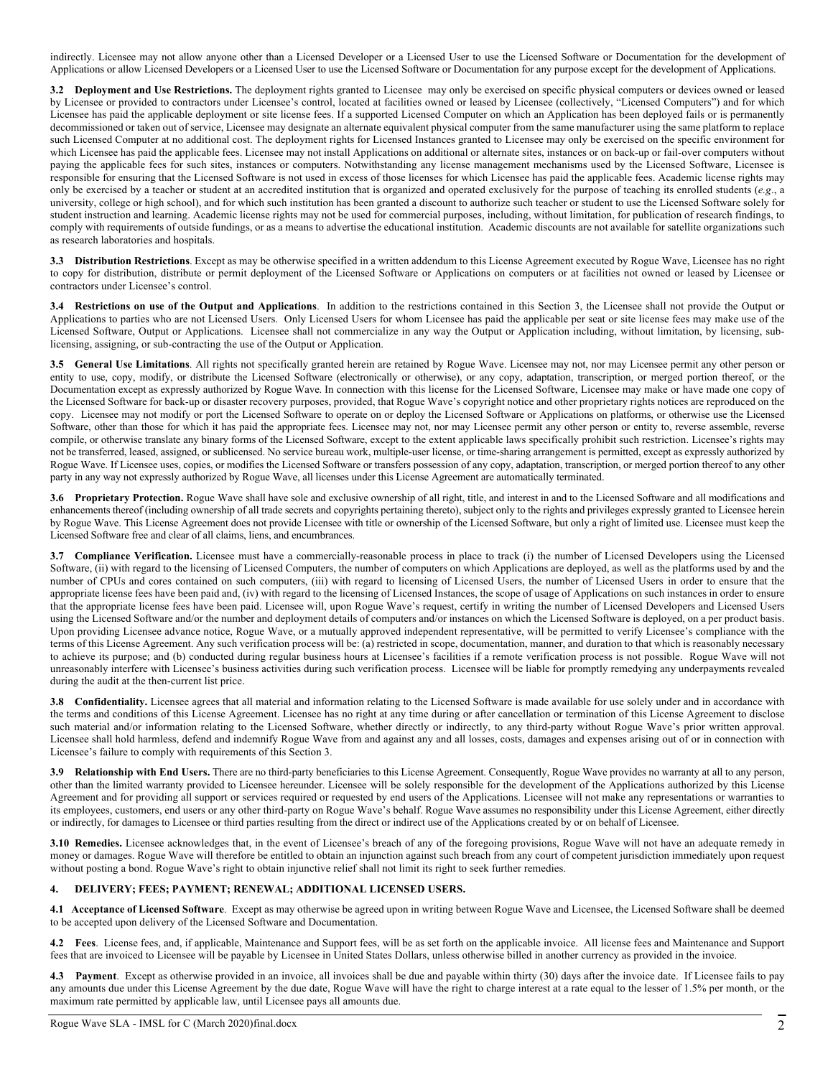indirectly. Licensee may not allow anyone other than a Licensed Developer or a Licensed User to use the Licensed Software or Documentation for the development of Applications or allow Licensed Developers or a Licensed User to use the Licensed Software or Documentation for any purpose except for the development of Applications.

**3.2 Deployment and Use Restrictions.** The deployment rights granted to Licensee may only be exercised on specific physical computers or devices owned or leased by Licensee or provided to contractors under Licensee's control, located at facilities owned or leased by Licensee (collectively, "Licensed Computers") and for which Licensee has paid the applicable deployment or site license fees. If a supported Licensed Computer on which an Application has been deployed fails or is permanently decommissioned or taken out of service, Licensee may designate an alternate equivalent physical computer from the same manufacturer using the same platform to replace such Licensed Computer at no additional cost. The deployment rights for Licensed Instances granted to Licensee may only be exercised on the specific environment for which Licensee has paid the applicable fees. Licensee may not install Applications on additional or alternate sites, instances or on back-up or fail-over computers without paying the applicable fees for such sites, instances or computers. Notwithstanding any license management mechanisms used by the Licensed Software, Licensee is responsible for ensuring that the Licensed Software is not used in excess of those licenses for which Licensee has paid the applicable fees. Academic license rights may only be exercised by a teacher or student at an accredited institution that is organized and operated exclusively for the purpose of teaching its enrolled students ( $e.g.,$  a university, college or high school), and for which such institution has been granted a discount to authorize such teacher or student to use the Licensed Software solely for student instruction and learning. Academic license rights may not be used for commercial purposes, including, without limitation, for publication of research findings, to comply with requirements of outside fundings, or as a means to advertise the educational institution. Academic discounts are not available for satellite organizations such as research laboratories and hospitals.

**3.3 Distribution Restrictions**. Except as may be otherwise specified in a written addendum to this License Agreement executed by Rogue Wave, Licensee has no right to copy for distribution, distribute or permit deployment of the Licensed Software or Applications on computers or at facilities not owned or leased by Licensee or contractors under Licensee's control.

**3.4 Restrictions on use of the Output and Applications**. In addition to the restrictions contained in this Section 3, the Licensee shall not provide the Output or Applications to parties who are not Licensed Users. Only Licensed Users for whom Licensee has paid the applicable per seat or site license fees may make use of the Licensed Software, Output or Applications. Licensee shall not commercialize in any way the Output or Application including, without limitation, by licensing, sublicensing, assigning, or sub-contracting the use of the Output or Application.

**3.5 General Use Limitations**. All rights not specifically granted herein are retained by Rogue Wave. Licensee may not, nor may Licensee permit any other person or entity to use, copy, modify, or distribute the Licensed Software (electronically or otherwise), or any copy, adaptation, transcription, or merged portion thereof, or the Documentation except as expressly authorized by Rogue Wave. In connection with this license for the Licensed Software, Licensee may make or have made one copy of the Licensed Software for back-up or disaster recovery purposes, provided, that Rogue Wave's copyright notice and other proprietary rights notices are reproduced on the copy. Licensee may not modify or port the Licensed Software to operate on or deploy the Licensed Software or Applications on platforms, or otherwise use the Licensed Software, other than those for which it has paid the appropriate fees. Licensee may not, nor may Licensee permit any other person or entity to, reverse assemble, reverse compile, or otherwise translate any binary forms of the Licensed Software, except to the extent applicable laws specifically prohibit such restriction. Licensee's rights may not be transferred, leased, assigned, or sublicensed. No service bureau work, multiple-user license, or time-sharing arrangement is permitted, except as expressly authorized by Rogue Wave. If Licensee uses, copies, or modifies the Licensed Software or transfers possession of any copy, adaptation, transcription, or merged portion thereof to any other party in any way not expressly authorized by Rogue Wave, all licenses under this License Agreement are automatically terminated.

**3.6 Proprietary Protection.** Rogue Wave shall have sole and exclusive ownership of all right, title, and interest in and to the Licensed Software and all modifications and enhancements thereof (including ownership of all trade secrets and copyrights pertaining thereto), subject only to the rights and privileges expressly granted to Licensee herein by Rogue Wave. This License Agreement does not provide Licensee with title or ownership of the Licensed Software, but only a right of limited use. Licensee must keep the Licensed Software free and clear of all claims, liens, and encumbrances.

**3.7 Compliance Verification.** Licensee must have a commercially-reasonable process in place to track (i) the number of Licensed Developers using the Licensed Software, (ii) with regard to the licensing of Licensed Computers, the number of computers on which Applications are deployed, as well as the platforms used by and the number of CPUs and cores contained on such computers, (iii) with regard to licensing of Licensed Users, the number of Licensed Users in order to ensure that the appropriate license fees have been paid and, (iv) with regard to the licensing of Licensed Instances, the scope of usage of Applications on such instances in order to ensure that the appropriate license fees have been paid. Licensee will, upon Rogue Wave's request, certify in writing the number of Licensed Developers and Licensed Users using the Licensed Software and/or the number and deployment details of computers and/or instances on which the Licensed Software is deployed, on a per product basis. Upon providing Licensee advance notice, Rogue Wave, or a mutually approved independent representative, will be permitted to verify Licensee's compliance with the terms of this License Agreement. Any such verification process will be: (a) restricted in scope, documentation, manner, and duration to that which is reasonably necessary to achieve its purpose; and (b) conducted during regular business hours at Licensee's facilities if a remote verification process is not possible. Rogue Wave will not unreasonably interfere with Licensee's business activities during such verification process. Licensee will be liable for promptly remedying any underpayments revealed during the audit at the then-current list price.

**3.8 Confidentiality.** Licensee agrees that all material and information relating to the Licensed Software is made available for use solely under and in accordance with the terms and conditions of this License Agreement. Licensee has no right at any time during or after cancellation or termination of this License Agreement to disclose such material and/or information relating to the Licensed Software, whether directly or indirectly, to any third-party without Rogue Wave's prior written approval. Licensee shall hold harmless, defend and indemnify Rogue Wave from and against any and all losses, costs, damages and expenses arising out of or in connection with Licensee's failure to comply with requirements of this Section 3.

**3.9 Relationship with End Users.** There are no third-party beneficiaries to this License Agreement. Consequently, Rogue Wave provides no warranty at all to any person, other than the limited warranty provided to Licensee hereunder. Licensee will be solely responsible for the development of the Applications authorized by this License Agreement and for providing all support or services required or requested by end users of the Applications. Licensee will not make any representations or warranties to its employees, customers, end users or any other third-party on Rogue Wave's behalf. Rogue Wave assumes no responsibility under this License Agreement, either directly or indirectly, for damages to Licensee or third parties resulting from the direct or indirect use of the Applications created by or on behalf of Licensee.

**3.10 Remedies.** Licensee acknowledges that, in the event of Licensee's breach of any of the foregoing provisions, Rogue Wave will not have an adequate remedy in money or damages. Rogue Wave will therefore be entitled to obtain an injunction against such breach from any court of competent jurisdiction immediately upon request without posting a bond. Rogue Wave's right to obtain injunctive relief shall not limit its right to seek further remedies.

# **4. DELIVERY; FEES; PAYMENT; RENEWAL; ADDITIONAL LICENSED USERS.**

**4.1 Acceptance of Licensed Software**. Except as may otherwise be agreed upon in writing between Rogue Wave and Licensee, the Licensed Software shall be deemed to be accepted upon delivery of the Licensed Software and Documentation.

**4.2 Fees**. License fees, and, if applicable, Maintenance and Support fees, will be as set forth on the applicable invoice. All license fees and Maintenance and Support fees that are invoiced to Licensee will be payable by Licensee in United States Dollars, unless otherwise billed in another currency as provided in the invoice.

**4.3 Payment**. Except as otherwise provided in an invoice, all invoices shall be due and payable within thirty (30) days after the invoice date. If Licensee fails to pay any amounts due under this License Agreement by the due date, Rogue Wave will have the right to charge interest at a rate equal to the lesser of 1.5% per month, or the maximum rate permitted by applicable law, until Licensee pays all amounts due.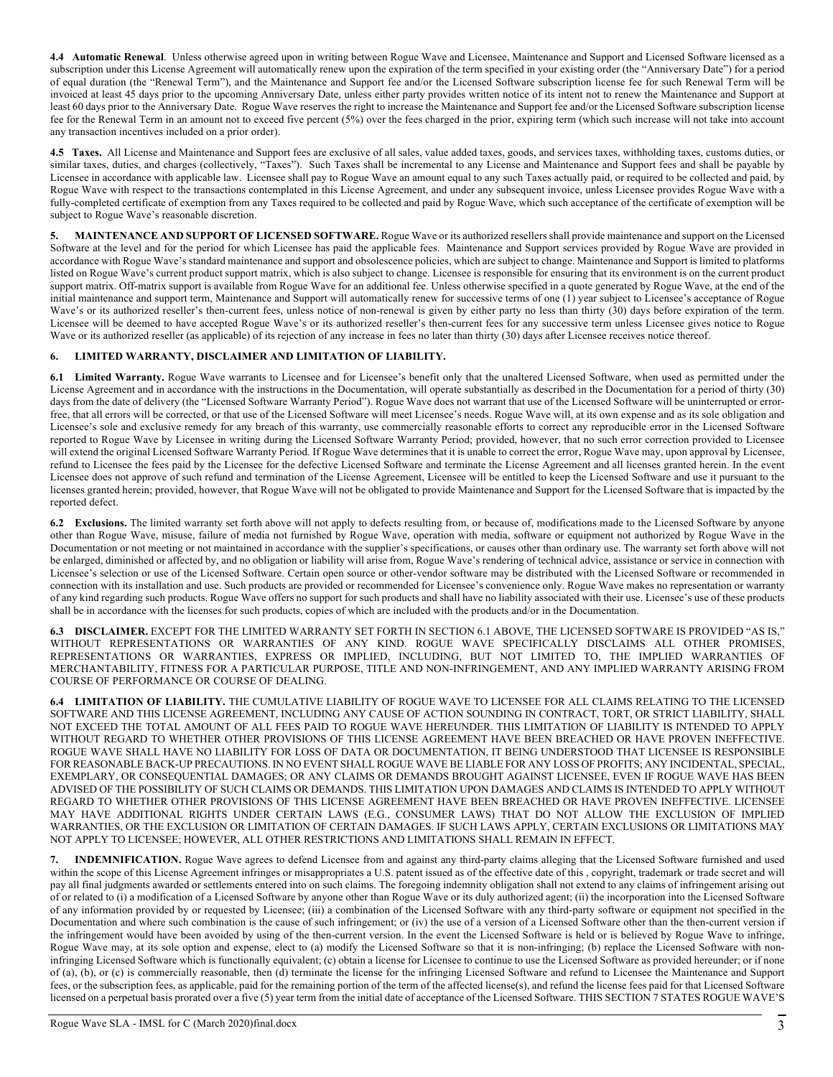4.4 Automatic Renewal. Unless otherwise agreed upon in writing between Rogue Wave and Licensee, Maintenance and Support and Licensed Software licensed as a subscription under this License Agreement will automatically renew upon the expiration of the term specified in your existing order (the "Anniversary Date") for a period of equal duration (the "Renewal Term"), and the Maintenance and Support fee and/or the Licensed Software subscription license fee for such Renewal Term will be invoiced at least 45 days prior to the upcoming Anniversary Date, unless either party provides written notice of its intent not to renew the Maintenance and Support at least 60 days prior to the Anniversary Date. Rogue Wave reserves the right to increase the Maintenance and Support fee and/or the Licensed Software subscription license fee for the Renewal Term in an amount not to exceed five percent (5%) over the fees charged in the prior, expiring term (which such increase will not take into account any transaction incentives included on a prior order).

**4.5 Taxes.** All License and Maintenance and Support fees are exclusive of all sales, value added taxes, goods, and services taxes, withholding taxes, customs duties, or similar taxes, duties, and charges (collectively, "Taxes"). Such Taxes shall be incremental to any License and Maintenance and Support fees and shall be payable by Licensee in accordance with applicable law. Licensee shall pay to Rogue Wave an amount equal to any such Taxes actually paid, or required to be collected and paid, by Rogue Wave with respect to the transactions contemplated in this License Agreement, and under any subsequent invoice, unless Licensee provides Rogue Wave with a fully-completed certificate of exemption from any Taxes required to be collected and paid by Rogue Wave, which such acceptance of the certificate of exemption will be subject to Rogue Wave's reasonable discretion.

**5. MAINTENANCE AND SUPPORT OF LICENSED SOFTWARE.** Rogue Wave or its authorized resellers shall provide maintenance and support on the Licensed Software at the level and for the period for which Licensee has paid the applicable fees. Maintenance and Support services provided by Rogue Wave are provided in accordance with Rogue Wave's standard maintenance and support and obsolescence policies, which are subject to change. Maintenance and Support is limited to platforms listed on Rogue Wave's current product support matrix, which is also subject to change. Licensee is responsible for ensuring that its environment is on the current product support matrix. Off-matrix support is available from Rogue Wave for an additional fee. Unless otherwise specified in a quote generated by Rogue Wave, at the end of the initial maintenance and support term, Maintenance and Support will automatically renew for successive terms of one (1) year subject to Licensee's acceptance of Rogue Wave's or its authorized reseller's then-current fees, unless notice of non-renewal is given by either party no less than thirty (30) days before expiration of the term. Licensee will be deemed to have accepted Rogue Wave's or its authorized reseller's then-current fees for any successive term unless Licensee gives notice to Rogue Wave or its authorized reseller (as applicable) of its rejection of any increase in fees no later than thirty (30) days after Licensee receives notice thereof.

# **6. LIMITED WARRANTY, DISCLAIMER AND LIMITATION OF LIABILITY.**

**6.1 Limited Warranty.** Rogue Wave warrants to Licensee and for Licensee's benefit only that the unaltered Licensed Software, when used as permitted under the License Agreement and in accordance with the instructions in the Documentation, will operate substantially as described in the Documentation for a period of thirty (30) days from the date of delivery (the "Licensed Software Warranty Period"). Rogue Wave does not warrant that use of the Licensed Software will be uninterrupted or errorfree, that all errors will be corrected, or that use of the Licensed Software will meet Licensee's needs. Rogue Wave will, at its own expense and as its sole obligation and Licensee's sole and exclusive remedy for any breach of this warranty, use commercially reasonable efforts to correct any reproducible error in the Licensed Software reported to Rogue Wave by Licensee in writing during the Licensed Software Warranty Period; provided, however, that no such error correction provided to Licensee will extend the original Licensed Software Warranty Period. If Rogue Wave determines that it is unable to correct the error, Rogue Wave may, upon approval by Licensee, refund to Licensee the fees paid by the Licensee for the defective Licensed Software and terminate the License Agreement and all licenses granted herein. In the event Licensee does not approve of such refund and termination of the License Agreement, Licensee will be entitled to keep the Licensed Software and use it pursuant to the licenses granted herein; provided, however, that Rogue Wave will not be obligated to provide Maintenance and Support for the Licensed Software that is impacted by the reported defect.

**6.2 Exclusions.** The limited warranty set forth above will not apply to defects resulting from, or because of, modifications made to the Licensed Software by anyone other than Rogue Wave, misuse, failure of media not furnished by Rogue Wave, operation with media, software or equipment not authorized by Rogue Wave in the Documentation or not meeting or not maintained in accordance with the supplier's specifications, or causes other than ordinary use. The warranty set forth above will not be enlarged, diminished or affected by, and no obligation or liability will arise from, Rogue Wave's rendering of technical advice, assistance or service in connection with Licensee's selection or use of the Licensed Software. Certain open source or other-vendor software may be distributed with the Licensed Software or recommended in connection with its installation and use. Such products are provided or recommended for Licensee's convenience only. Rogue Wave makes no representation or warranty of any kind regarding such products. Rogue Wave offers no support for such products and shall have no liability associated with their use. Licensee's use of these products shall be in accordance with the licenses for such products, copies of which are included with the products and/or in the Documentation.

**6.3 DISCLAIMER.** EXCEPT FOR THE LIMITED WARRANTY SET FORTH IN SECTION 6.1 ABOVE, THE LICENSED SOFTWARE IS PROVIDED "AS IS," WITHOUT REPRESENTATIONS OR WARRANTIES OF ANY KIND. ROGUE WAVE SPECIFICALLY DISCLAIMS ALL OTHER PROMISES, REPRESENTATIONS OR WARRANTIES, EXPRESS OR IMPLIED, INCLUDING, BUT NOT LIMITED TO, THE IMPLIED WARRANTIES OF MERCHANTABILITY, FITNESS FOR A PARTICULAR PURPOSE, TITLE AND NON-INFRINGEMENT, AND ANY IMPLIED WARRANTY ARISING FROM COURSE OF PERFORMANCE OR COURSE OF DEALING.

**6.4 LIMITATION OF LIABILITY.** THE CUMULATIVE LIABILITY OF ROGUE WAVE TO LICENSEE FOR ALL CLAIMS RELATING TO THE LICENSED SOFTWARE AND THIS LICENSE AGREEMENT, INCLUDING ANY CAUSE OF ACTION SOUNDING IN CONTRACT, TORT, OR STRICT LIABILITY, SHALL NOT EXCEED THE TOTAL AMOUNT OF ALL FEES PAID TO ROGUE WAVE HEREUNDER. THIS LIMITATION OF LIABILITY IS INTENDED TO APPLY WITHOUT REGARD TO WHETHER OTHER PROVISIONS OF THIS LICENSE AGREEMENT HAVE BEEN BREACHED OR HAVE PROVEN INEFFECTIVE. ROGUE WAVE SHALL HAVE NO LIABILITY FOR LOSS OF DATA OR DOCUMENTATION, IT BEING UNDERSTOOD THAT LICENSEE IS RESPONSIBLE FOR REASONABLE BACK-UP PRECAUTIONS. IN NO EVENT SHALL ROGUE WAVE BE LIABLE FOR ANY LOSS OF PROFITS; ANY INCIDENTAL, SPECIAL, EXEMPLARY, OR CONSEQUENTIAL DAMAGES; OR ANY CLAIMS OR DEMANDS BROUGHT AGAINST LICENSEE, EVEN IF ROGUE WAVE HAS BEEN ADVISED OF THE POSSIBILITY OF SUCH CLAIMS OR DEMANDS. THIS LIMITATION UPON DAMAGES AND CLAIMS IS INTENDED TO APPLY WITHOUT REGARD TO WHETHER OTHER PROVISIONS OF THIS LICENSE AGREEMENT HAVE BEEN BREACHED OR HAVE PROVEN INEFFECTIVE. LICENSEE MAY HAVE ADDITIONAL RIGHTS UNDER CERTAIN LAWS (E.G., CONSUMER LAWS) THAT DO NOT ALLOW THE EXCLUSION OF IMPLIED WARRANTIES, OR THE EXCLUSION OR LIMITATION OF CERTAIN DAMAGES. IF SUCH LAWS APPLY, CERTAIN EXCLUSIONS OR LIMITATIONS MAY NOT APPLY TO LICENSEE; HOWEVER, ALL OTHER RESTRICTIONS AND LIMITATIONS SHALL REMAIN IN EFFECT.

**7. INDEMNIFICATION.** Rogue Wave agrees to defend Licensee from and against any third-party claims alleging that the Licensed Software furnished and used within the scope of this License Agreement infringes or misappropriates a U.S. patent issued as of the effective date of this, copyright, trademark or trade secret and will pay all final judgments awarded or settlements entered into on such claims. The foregoing indemnity obligation shall not extend to any claims of infringement arising out of or related to (i) a modification of a Licensed Software by anyone other than Rogue Wave or its duly authorized agent; (ii) the incorporation into the Licensed Software of any information provided by or requested by Licensee; (iii) a combination of the Licensed Software with any third-party software or equipment not specified in the Documentation and where such combination is the cause of such infringement; or (iv) the use of a version of a Licensed Software other than the then-current version if the infringement would have been avoided by using of the then-current version. In the event the Licensed Software is held or is believed by Rogue Wave to infringe, Rogue Wave may, at its sole option and expense, elect to (a) modify the Licensed Software so that it is non-infringing; (b) replace the Licensed Software with noninfringing Licensed Software which is functionally equivalent; (c) obtain a license for Licensee to continue to use the Licensed Software as provided hereunder; or if none of (a), (b), or (c) is commercially reasonable, then (d) terminate the license for the infringing Licensed Software and refund to Licensee the Maintenance and Support fees, or the subscription fees, as applicable, paid for the remaining portion of the term of the affected license(s), and refund the license fees paid for that Licensed Software licensed on a perpetual basis prorated over a five (5) year term from the initial date of acceptance of the Licensed Software. THIS SECTION 7 STATES ROGUE WAVE'S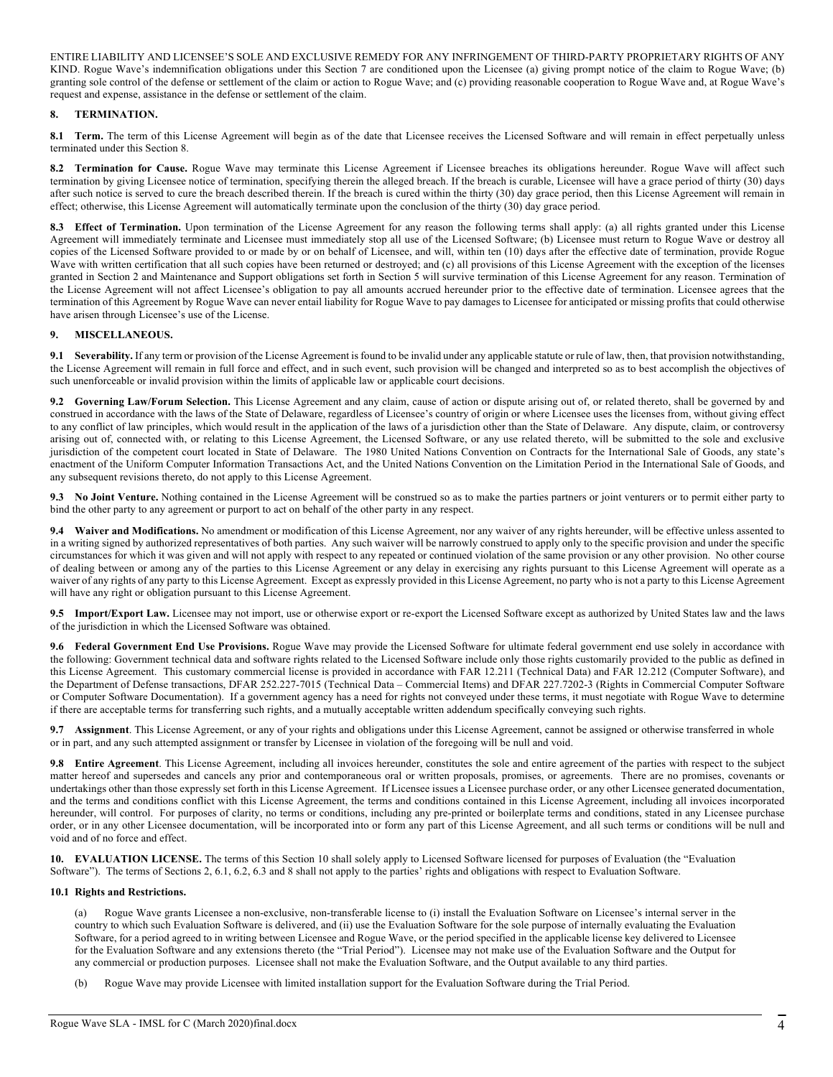ENTIRE LIABILITY AND LICENSEE'S SOLE AND EXCLUSIVE REMEDY FOR ANY INFRINGEMENT OF THIRD-PARTY PROPRIETARY RIGHTS OF ANY KIND. Rogue Wave's indemnification obligations under this Section 7 are conditioned upon the Licensee (a) giving prompt notice of the claim to Rogue Wave; (b) granting sole control of the defense or settlement of the claim or action to Rogue Wave; and (c) providing reasonable cooperation to Rogue Wave and, at Rogue Wave's request and expense, assistance in the defense or settlement of the claim.

## **8. TERMINATION.**

**8.1 Term.** The term of this License Agreement will begin as of the date that Licensee receives the Licensed Software and will remain in effect perpetually unless terminated under this Section 8.

**8.2 Termination for Cause.** Rogue Wave may terminate this License Agreement if Licensee breaches its obligations hereunder. Rogue Wave will affect such termination by giving Licensee notice of termination, specifying therein the alleged breach. If the breach is curable, Licensee will have a grace period of thirty (30) days after such notice is served to cure the breach described therein. If the breach is cured within the thirty (30) day grace period, then this License Agreement will remain in effect; otherwise, this License Agreement will automatically terminate upon the conclusion of the thirty (30) day grace period.

8.3 **Effect of Termination.** Upon termination of the License Agreement for any reason the following terms shall apply: (a) all rights granted under this License Agreement will immediately terminate and Licensee must immediately stop all use of the Licensed Software; (b) Licensee must return to Rogue Wave or destroy all copies of the Licensed Software provided to or made by or on behalf of Licensee, and will, within ten (10) days after the effective date of termination, provide Rogue Wave with written certification that all such copies have been returned or destroyed; and (c) all provisions of this License Agreement with the exception of the licenses granted in Section 2 and Maintenance and Support obligations set forth in Section 5 will survive termination of this License Agreement for any reason. Termination of the License Agreement will not affect Licensee's obligation to pay all amounts accrued hereunder prior to the effective date of termination. Licensee agrees that the termination of this Agreement by Rogue Wave can never entail liability for Rogue Wave to pay damages to Licensee for anticipated or missing profits that could otherwise have arisen through Licensee's use of the License.

## **9. MISCELLANEOUS.**

**9.1 Severability.** If any term or provision of the License Agreement is found to be invalid under any applicable statute or rule of law, then, that provision notwithstanding, the License Agreement will remain in full force and effect, and in such event, such provision will be changed and interpreted so as to best accomplish the objectives of such unenforceable or invalid provision within the limits of applicable law or applicable court decisions.

**9.2 Governing Law/Forum Selection.** This License Agreement and any claim, cause of action or dispute arising out of, or related thereto, shall be governed by and construed in accordance with the laws of the State of Delaware, regardless of Licensee's country of origin or where Licensee uses the licenses from, without giving effect to any conflict of law principles, which would result in the application of the laws of a jurisdiction other than the State of Delaware. Any dispute, claim, or controversy arising out of, connected with, or relating to this License Agreement, the Licensed Software, or any use related thereto, will be submitted to the sole and exclusive jurisdiction of the competent court located in State of Delaware. The 1980 United Nations Convention on Contracts for the International Sale of Goods, any state's enactment of the Uniform Computer Information Transactions Act, and the United Nations Convention on the Limitation Period in the International Sale of Goods, and any subsequent revisions thereto, do not apply to this License Agreement.

**9.3 No Joint Venture.** Nothing contained in the License Agreement will be construed so as to make the parties partners or joint venturers or to permit either party to bind the other party to any agreement or purport to act on behalf of the other party in any respect.

**9.4 Waiver and Modifications.** No amendment or modification of this License Agreement, nor any waiver of any rights hereunder, will be effective unless assented to in a writing signed by authorized representatives of both parties. Any such waiver will be narrowly construed to apply only to the specific provision and under the specific circumstances for which it was given and will not apply with respect to any repeated or continued violation of the same provision or any other provision. No other course of dealing between or among any of the parties to this License Agreement or any delay in exercising any rights pursuant to this License Agreement will operate as a waiver of any rights of any party to this License Agreement. Except as expressly provided in this License Agreement, no party who is not a party to this License Agreement will have any right or obligation pursuant to this License Agreement.

**9.5 Import/Export Law.** Licensee may not import, use or otherwise export or re-export the Licensed Software except as authorized by United States law and the laws of the jurisdiction in which the Licensed Software was obtained.

**9.6 Federal Government End Use Provisions.** Rogue Wave may provide the Licensed Software for ultimate federal government end use solely in accordance with the following: Government technical data and software rights related to the Licensed Software include only those rights customarily provided to the public as defined in this License Agreement. This customary commercial license is provided in accordance with FAR 12.211 (Technical Data) and FAR 12.212 (Computer Software), and the Department of Defense transactions, DFAR 252.227-7015 (Technical Data – Commercial Items) and DFAR 227.7202-3 (Rights in Commercial Computer Software or Computer Software Documentation). If a government agency has a need for rights not conveyed under these terms, it must negotiate with Rogue Wave to determine if there are acceptable terms for transferring such rights, and a mutually acceptable written addendum specifically conveying such rights.

**9.7 Assignment**. This License Agreement, or any of your rights and obligations under this License Agreement, cannot be assigned or otherwise transferred in whole or in part, and any such attempted assignment or transfer by Licensee in violation of the foregoing will be null and void.

**9.8 Entire Agreement**. This License Agreement, including all invoices hereunder, constitutes the sole and entire agreement of the parties with respect to the subject matter hereof and supersedes and cancels any prior and contemporaneous oral or written proposals, promises, or agreements. There are no promises, covenants or undertakings other than those expressly set forth in this License Agreement. If Licensee issues a Licensee purchase order, or any other Licensee generated documentation, and the terms and conditions conflict with this License Agreement, the terms and conditions contained in this License Agreement, including all invoices incorporated hereunder, will control. For purposes of clarity, no terms or conditions, including any pre-printed or boilerplate terms and conditions, stated in any Licensee purchase order, or in any other Licensee documentation, will be incorporated into or form any part of this License Agreement, and all such terms or conditions will be null and void and of no force and effect.

**10. EVALUATION LICENSE.** The terms of this Section 10 shall solely apply to Licensed Software licensed for purposes of Evaluation (the "Evaluation Software"). The terms of Sections 2, 6.1, 6.2, 6.3 and 8 shall not apply to the parties' rights and obligations with respect to Evaluation Software.

## **10.1 Rights and Restrictions.**

(a) Rogue Wave grants Licensee a non-exclusive, non-transferable license to (i) install the Evaluation Software on Licensee's internal server in the country to which such Evaluation Software is delivered, and (ii) use the Evaluation Software for the sole purpose of internally evaluating the Evaluation Software, for a period agreed to in writing between Licensee and Rogue Wave, or the period specified in the applicable license key delivered to Licensee for the Evaluation Software and any extensions thereto (the "Trial Period"). Licensee may not make use of the Evaluation Software and the Output for any commercial or production purposes. Licensee shall not make the Evaluation Software, and the Output available to any third parties.

(b) Rogue Wave may provide Licensee with limited installation support for the Evaluation Software during the Trial Period.